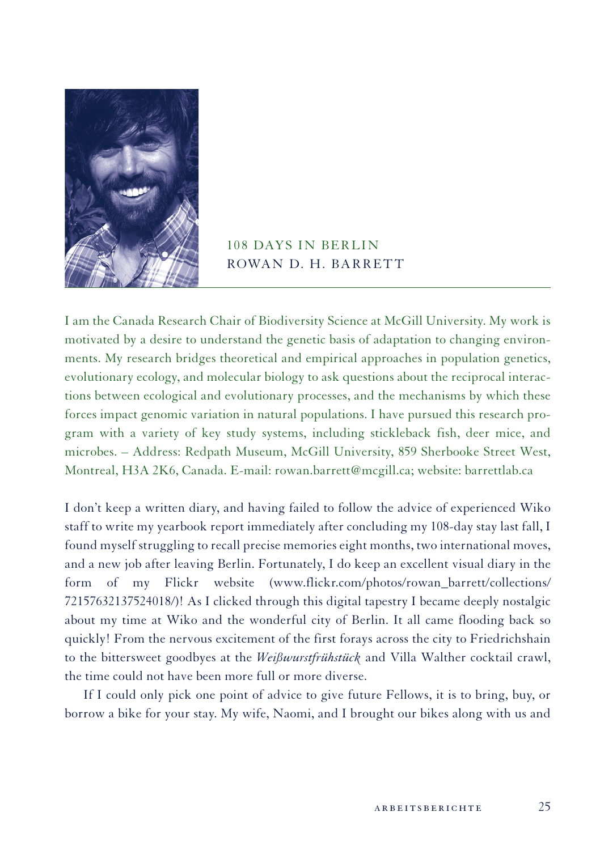

## 108 days in Berlin ROWAN D. H. BARRETT

I am the Canada Research Chair of Biodiversity Science at McGill University. My work is motivated by a desire to understand the genetic basis of adaptation to changing environments. My research bridges theoretical and empirical approaches in population genetics, evolutionary ecology, and molecular biology to ask questions about the reciprocal interactions between ecological and evolutionary processes, and the mechanisms by which these forces impact genomic variation in natural populations. I have pursued this research program with a variety of key study systems, including stickleback fish, deer mice, and microbes. – Address: Redpath Museum, McGill University, 859 Sherbooke Street West, Montreal, H3A 2K6, Canada. E-mail: rowan.barrett@mcgill.ca; website: barrettlab.ca

I don't keep a written diary, and having failed to follow the advice of experienced Wiko staff to write my yearbook report immediately after concluding my 108-day stay last fall, I found myself struggling to recall precise memories eight months, two international moves, and a new job after leaving Berlin. Fortunately, I do keep an excellent visual diary in the form of my Flickr website (www.flickr.com/photos/rowan\_barrett/collections/ 72157632137524018/)! As I clicked through this digital tapestry I became deeply nostalgic about my time at Wiko and the wonderful city of Berlin. It all came flooding back so quickly! From the nervous excitement of the first forays across the city to Friedrichshain to the bittersweet goodbyes at the *Weißwurstfrühstück* and Villa Walther cocktail crawl, the time could not have been more full or more diverse.

If I could only pick one point of advice to give future Fellows, it is to bring, buy, or borrow a bike for your stay. My wife, Naomi, and I brought our bikes along with us and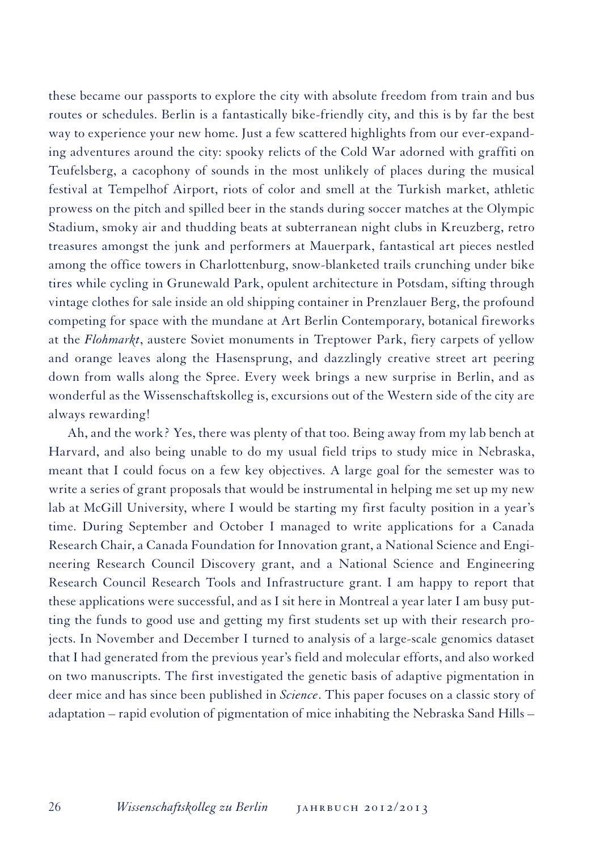these became our passports to explore the city with absolute freedom from train and bus routes or schedules. Berlin is a fantastically bike-friendly city, and this is by far the best way to experience your new home. Just a few scattered highlights from our ever-expanding adventures around the city: spooky relicts of the Cold War adorned with graffiti on Teufelsberg, a cacophony of sounds in the most unlikely of places during the musical festival at Tempelhof Airport, riots of color and smell at the Turkish market, athletic prowess on the pitch and spilled beer in the stands during soccer matches at the Olympic Stadium, smoky air and thudding beats at subterranean night clubs in Kreuzberg, retro treasures amongst the junk and performers at Mauerpark, fantastical art pieces nestled among the office towers in Charlottenburg, snow-blanketed trails crunching under bike tires while cycling in Grunewald Park, opulent architecture in Potsdam, sifting through vintage clothes for sale inside an old shipping container in Prenzlauer Berg, the profound competing for space with the mundane at Art Berlin Contemporary, botanical fireworks at the *Flohmarkt*, austere Soviet monuments in Treptower Park, fiery carpets of yellow and orange leaves along the Hasensprung, and dazzlingly creative street art peering down from walls along the Spree. Every week brings a new surprise in Berlin, and as wonderful as the Wissenschaftskolleg is, excursions out of the Western side of the city are always rewarding!

Ah, and the work? Yes, there was plenty of that too. Being away from my lab bench at Harvard, and also being unable to do my usual field trips to study mice in Nebraska, meant that I could focus on a few key objectives. A large goal for the semester was to write a series of grant proposals that would be instrumental in helping me set up my new lab at McGill University, where I would be starting my first faculty position in a year's time. During September and October I managed to write applications for a Canada Research Chair, a Canada Foundation for Innovation grant, a National Science and Engineering Research Council Discovery grant, and a National Science and Engineering Research Council Research Tools and Infrastructure grant. I am happy to report that these applications were successful, and as I sit here in Montreal a year later I am busy putting the funds to good use and getting my first students set up with their research projects. In November and December I turned to analysis of a large-scale genomics dataset that I had generated from the previous year's field and molecular efforts, and also worked on two manuscripts. The first investigated the genetic basis of adaptive pigmentation in deer mice and has since been published in *Science*. This paper focuses on a classic story of adaptation – rapid evolution of pigmentation of mice inhabiting the Nebraska Sand Hills –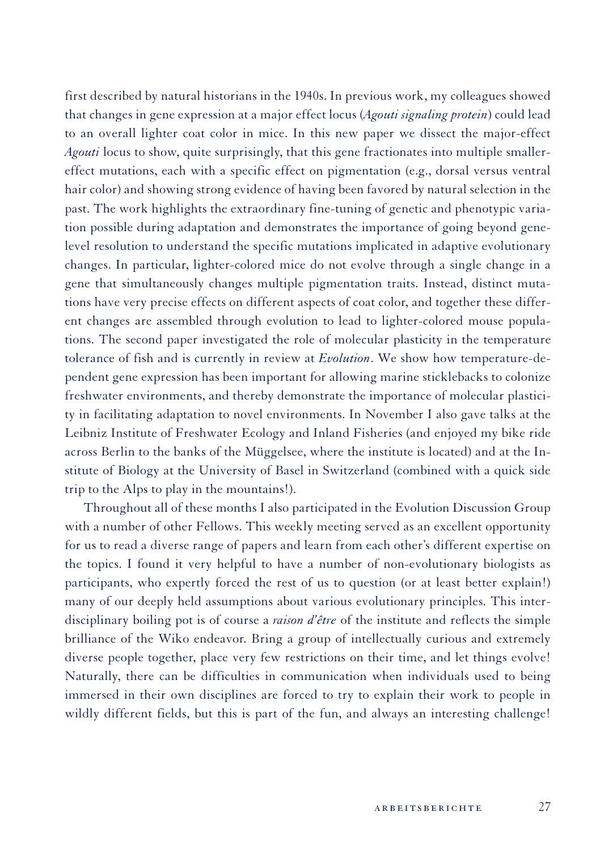first described by natural historians in the 1940s. In previous work, my colleagues showed that changes in gene expression at a major effect locus (*Agouti signaling protein*) could lead to an overall lighter coat color in mice. In this new paper we dissect the major-effect *Agouti* locus to show, quite surprisingly, that this gene fractionates into multiple smallereffect mutations, each with a specific effect on pigmentation (e.g., dorsal versus ventral hair color) and showing strong evidence of having been favored by natural selection in the past. The work highlights the extraordinary fine-tuning of genetic and phenotypic variation possible during adaptation and demonstrates the importance of going beyond genelevel resolution to understand the specific mutations implicated in adaptive evolutionary changes. In particular, lighter-colored mice do not evolve through a single change in a gene that simultaneously changes multiple pigmentation traits. Instead, distinct mutations have very precise effects on different aspects of coat color, and together these different changes are assembled through evolution to lead to lighter-colored mouse populations. The second paper investigated the role of molecular plasticity in the temperature tolerance of fish and is currently in review at *Evolution*. We show how temperature-dependent gene expression has been important for allowing marine sticklebacks to colonize freshwater environments, and thereby demonstrate the importance of molecular plasticity in facilitating adaptation to novel environments. In November I also gave talks at the Leibniz Institute of Freshwater Ecology and Inland Fisheries (and enjoyed my bike ride across Berlin to the banks of the Müggelsee, where the institute is located) and at the Institute of Biology at the University of Basel in Switzerland (combined with a quick side trip to the Alps to play in the mountains!).

Throughout all of these months I also participated in the Evolution Discussion Group with a number of other Fellows. This weekly meeting served as an excellent opportunity for us to read a diverse range of papers and learn from each other's different expertise on the topics. I found it very helpful to have a number of non-evolutionary biologists as participants, who expertly forced the rest of us to question (or at least better explain!) many of our deeply held assumptions about various evolutionary principles. This interdisciplinary boiling pot is of course a *raison d'être* of the institute and reflects the simple brilliance of the Wiko endeavor. Bring a group of intellectually curious and extremely diverse people together, place very few restrictions on their time, and let things evolve! Naturally, there can be difficulties in communication when individuals used to being immersed in their own disciplines are forced to try to explain their work to people in wildly different fields, but this is part of the fun, and always an interesting challenge!